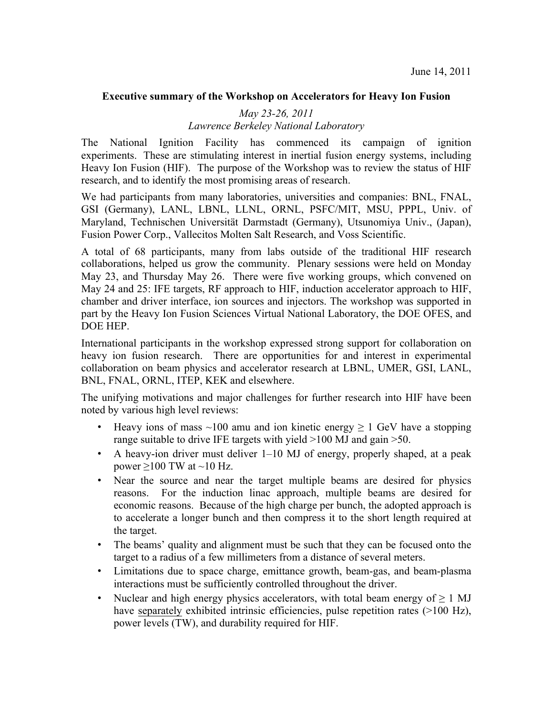## **Executive summary of the Workshop on Accelerators for Heavy Ion Fusion**

## *May 23-26, 2011 Lawrence Berkeley National Laboratory*

The National Ignition Facility has commenced its campaign of ignition experiments. These are stimulating interest in inertial fusion energy systems, including Heavy Ion Fusion (HIF). The purpose of the Workshop was to review the status of HIF research, and to identify the most promising areas of research.

We had participants from many laboratories, universities and companies: BNL, FNAL, GSI (Germany), LANL, LBNL, LLNL, ORNL, PSFC/MIT, MSU, PPPL, Univ. of Maryland, Technischen Universität Darmstadt (Germany), Utsunomiya Univ., (Japan), Fusion Power Corp., Vallecitos Molten Salt Research, and Voss Scientific.

A total of 68 participants, many from labs outside of the traditional HIF research collaborations, helped us grow the community. Plenary sessions were held on Monday May 23, and Thursday May 26. There were five working groups, which convened on May 24 and 25: IFE targets, RF approach to HIF, induction accelerator approach to HIF, chamber and driver interface, ion sources and injectors. The workshop was supported in part by the Heavy Ion Fusion Sciences Virtual National Laboratory, the DOE OFES, and DOE HEP.

International participants in the workshop expressed strong support for collaboration on heavy ion fusion research. There are opportunities for and interest in experimental collaboration on beam physics and accelerator research at LBNL, UMER, GSI, LANL, BNL, FNAL, ORNL, ITEP, KEK and elsewhere.

The unifying motivations and major challenges for further research into HIF have been noted by various high level reviews:

- Heavy ions of mass ~100 amu and ion kinetic energy  $\geq 1$  GeV have a stopping range suitable to drive IFE targets with yield >100 MJ and gain >50.
- A heavy-ion driver must deliver 1–10 MJ of energy, properly shaped, at a peak power  $\geq$ 100 TW at ~10 Hz.
- Near the source and near the target multiple beams are desired for physics reasons. For the induction linac approach, multiple beams are desired for economic reasons. Because of the high charge per bunch, the adopted approach is to accelerate a longer bunch and then compress it to the short length required at the target.
- The beams' quality and alignment must be such that they can be focused onto the target to a radius of a few millimeters from a distance of several meters.
- Limitations due to space charge, emittance growth, beam-gas, and beam-plasma interactions must be sufficiently controlled throughout the driver.
- Nuclear and high energy physics accelerators, with total beam energy of  $\geq 1$  MJ have separately exhibited intrinsic efficiencies, pulse repetition rates (>100 Hz), power levels (TW), and durability required for HIF.